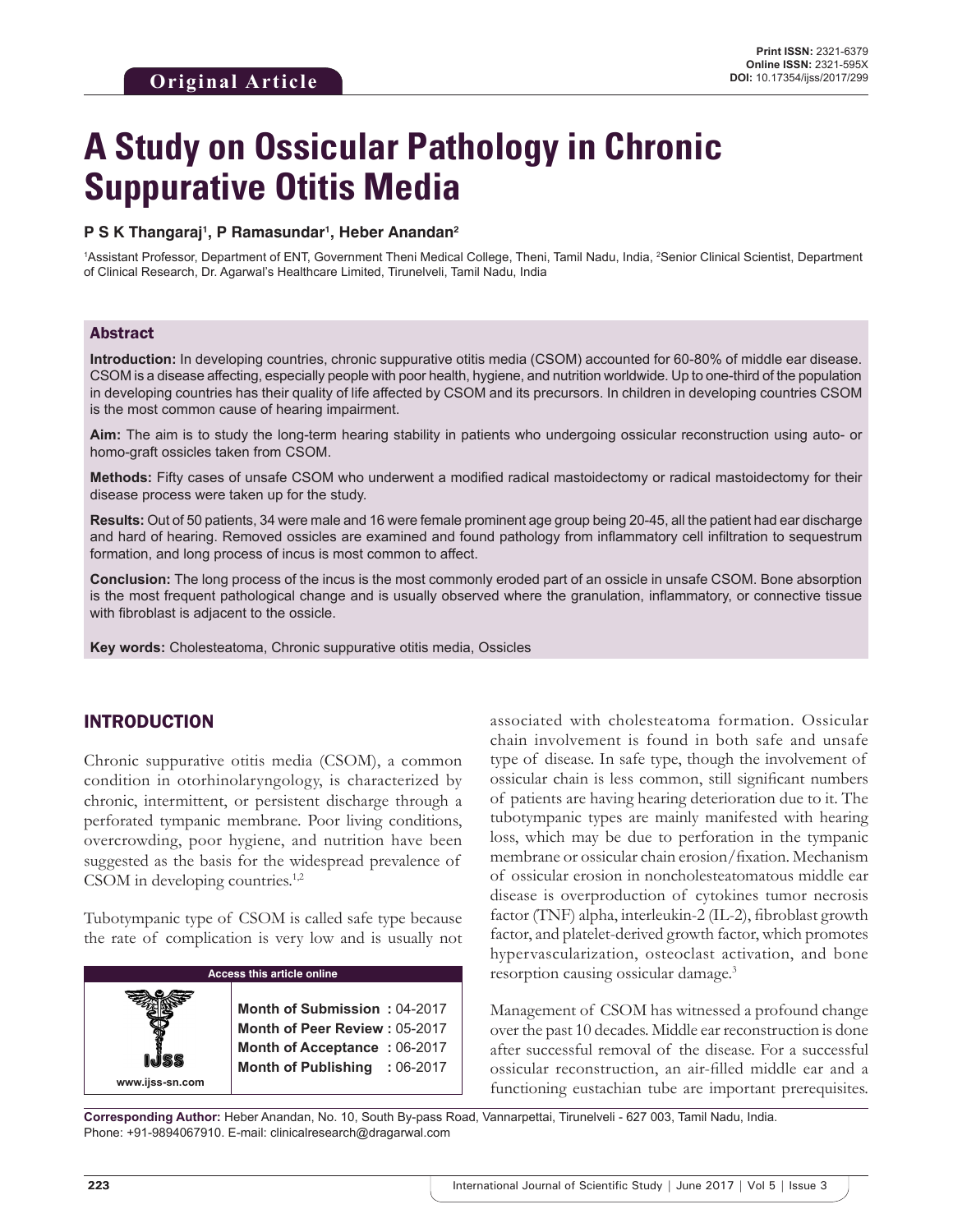# **A Study on Ossicular Pathology in Chronic Suppurative Otitis Media**

#### **P S K Thangaraj1 , P Ramasundar1 , Heber Anandan2**

<sup>1</sup>Assistant Professor, Department of ENT, Government Theni Medical College, Theni, Tamil Nadu, India, <sup>2</sup>Senior Clinical Scientist, Department of Clinical Research, Dr. Agarwal's Healthcare Limited, Tirunelveli, Tamil Nadu, India

#### Abstract

**Introduction:** In developing countries, chronic suppurative otitis media (CSOM) accounted for 60-80% of middle ear disease. CSOM is a disease affecting, especially people with poor health, hygiene, and nutrition worldwide. Up to one-third of the population in developing countries has their quality of life affected by CSOM and its precursors. In children in developing countries CSOM is the most common cause of hearing impairment.

**Aim:** The aim is to study the long-term hearing stability in patients who undergoing ossicular reconstruction using auto- or homo-graft ossicles taken from CSOM.

**Methods:** Fifty cases of unsafe CSOM who underwent a modified radical mastoidectomy or radical mastoidectomy for their disease process were taken up for the study.

**Results:** Out of 50 patients, 34 were male and 16 were female prominent age group being 20-45, all the patient had ear discharge and hard of hearing. Removed ossicles are examined and found pathology from inflammatory cell infiltration to sequestrum formation, and long process of incus is most common to affect.

**Conclusion:** The long process of the incus is the most commonly eroded part of an ossicle in unsafe CSOM. Bone absorption is the most frequent pathological change and is usually observed where the granulation, inflammatory, or connective tissue with fibroblast is adjacent to the ossicle.

**Key words:** Cholesteatoma, Chronic suppurative otitis media, Ossicles

# INTRODUCTION

Chronic suppurative otitis media (CSOM), a common condition in otorhinolaryngology, is characterized by chronic, intermittent, or persistent discharge through a perforated tympanic membrane. Poor living conditions, overcrowding, poor hygiene, and nutrition have been suggested as the basis for the widespread prevalence of CSOM in developing countries.<sup>1,2</sup>

Tubotympanic type of CSOM is called safe type because the rate of complication is very low and is usually not

| <b>Access this article online</b> |                                                                                                                                |  |  |  |
|-----------------------------------|--------------------------------------------------------------------------------------------------------------------------------|--|--|--|
| www.ijss-sn.com                   | Month of Submission: 04-2017<br>Month of Peer Review: 05-2017<br>Month of Acceptance: 06-2017<br>Month of Publishing : 06-2017 |  |  |  |

associated with cholesteatoma formation. Ossicular chain involvement is found in both safe and unsafe type of disease. In safe type, though the involvement of ossicular chain is less common, still significant numbers of patients are having hearing deterioration due to it. The tubotympanic types are mainly manifested with hearing loss, which may be due to perforation in the tympanic membrane or ossicular chain erosion/fixation. Mechanism of ossicular erosion in noncholesteatomatous middle ear disease is overproduction of cytokines tumor necrosis factor (TNF) alpha, interleukin-2 (IL-2), fibroblast growth factor, and platelet-derived growth factor, which promotes hypervascularization, osteoclast activation, and bone resorption causing ossicular damage.3

Management of CSOM has witnessed a profound change over the past 10 decades. Middle ear reconstruction is done after successful removal of the disease. For a successful ossicular reconstruction, an air-filled middle ear and a functioning eustachian tube are important prerequisites.

**Corresponding Author:** Heber Anandan, No. 10, South By-pass Road, Vannarpettai, Tirunelveli - 627 003, Tamil Nadu, India. Phone: +91-9894067910. E-mail: clinicalresearch@dragarwal.com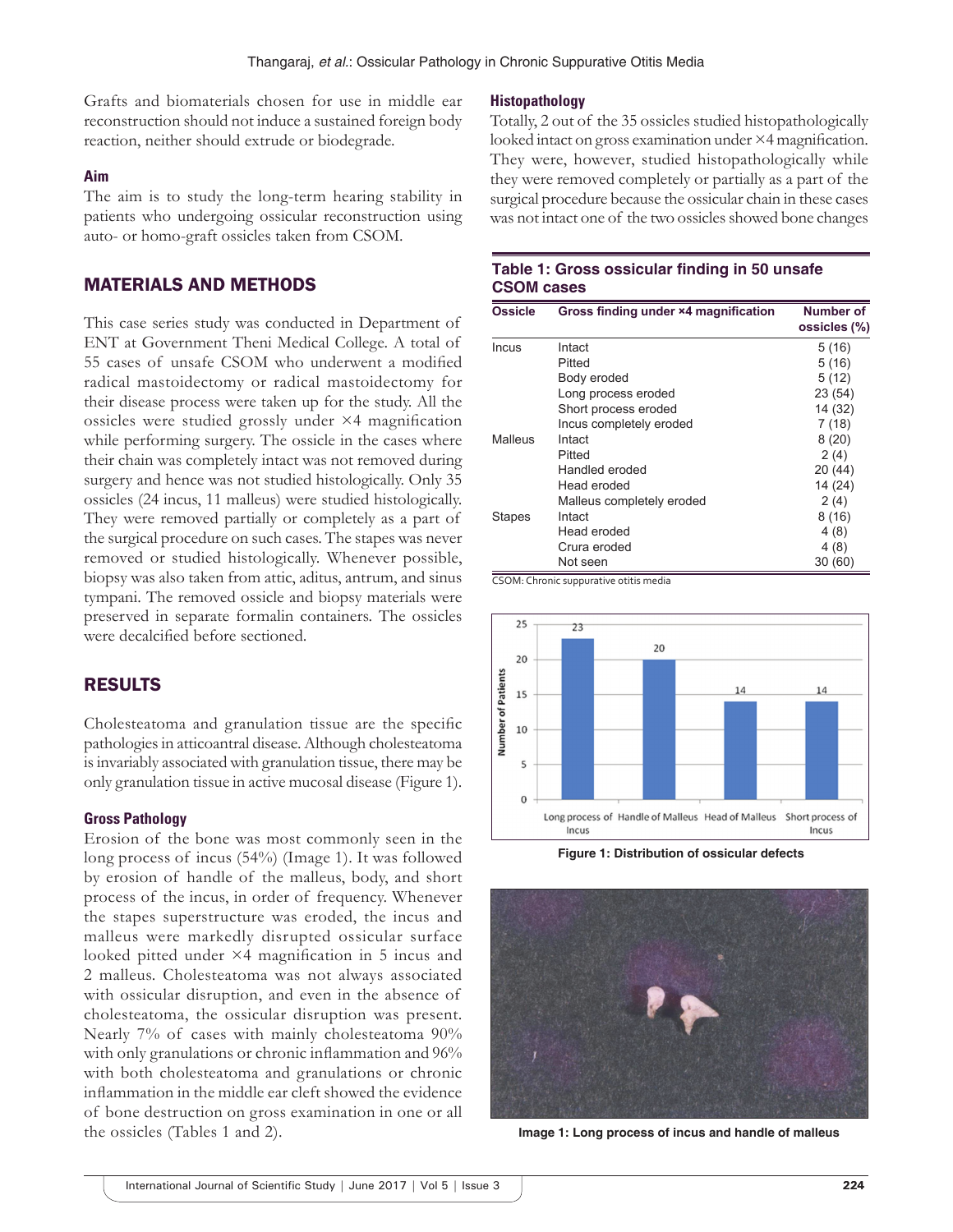Grafts and biomaterials chosen for use in middle ear reconstruction should not induce a sustained foreign body reaction, neither should extrude or biodegrade.

#### **Aim**

The aim is to study the long-term hearing stability in patients who undergoing ossicular reconstruction using auto- or homo-graft ossicles taken from CSOM.

## MATERIALS AND METHODS

This case series study was conducted in Department of ENT at Government Theni Medical College. A total of 55 cases of unsafe CSOM who underwent a modified radical mastoidectomy or radical mastoidectomy for their disease process were taken up for the study. All the ossicles were studied grossly under ×4 magnification while performing surgery. The ossicle in the cases where their chain was completely intact was not removed during surgery and hence was not studied histologically. Only 35 ossicles (24 incus, 11 malleus) were studied histologically. They were removed partially or completely as a part of the surgical procedure on such cases. The stapes was never removed or studied histologically. Whenever possible, biopsy was also taken from attic, aditus, antrum, and sinus tympani. The removed ossicle and biopsy materials were preserved in separate formalin containers. The ossicles were decalcified before sectioned.

# RESULTS

Cholesteatoma and granulation tissue are the specific pathologies in atticoantral disease. Although cholesteatoma is invariably associated with granulation tissue, there may be only granulation tissue in active mucosal disease (Figure 1).

## **Gross Pathology**

Erosion of the bone was most commonly seen in the long process of incus (54%) (Image 1). It was followed by erosion of handle of the malleus, body, and short process of the incus, in order of frequency. Whenever the stapes superstructure was eroded, the incus and malleus were markedly disrupted ossicular surface looked pitted under ×4 magnification in 5 incus and 2 malleus. Cholesteatoma was not always associated with ossicular disruption, and even in the absence of cholesteatoma, the ossicular disruption was present. Nearly 7% of cases with mainly cholesteatoma 90% with only granulations or chronic inflammation and 96% with both cholesteatoma and granulations or chronic inflammation in the middle ear cleft showed the evidence of bone destruction on gross examination in one or all the ossicles (Tables 1 and 2).

#### **Histopathology**

Totally, 2 out of the 35 ossicles studied histopathologically looked intact on gross examination under ×4 magnification. They were, however, studied histopathologically while they were removed completely or partially as a part of the surgical procedure because the ossicular chain in these cases was not intact one of the two ossicles showed bone changes

## **Table 1: Gross ossicular finding in 50 unsafe CSOM cases**

| <b>Ossicle</b> | Gross finding under ×4 magnification | Number of<br>ossicles (%) |
|----------------|--------------------------------------|---------------------------|
| Incus          | Intact                               | 5(16)                     |
|                | Pitted                               | 5(16)                     |
|                | Body eroded                          | 5(12)                     |
|                | Long process eroded                  | 23 (54)                   |
|                | Short process eroded                 | 14 (32)                   |
|                | Incus completely eroded              | 7(18)                     |
| Malleus        | Intact                               | 8(20)                     |
|                | Pitted                               | 2(4)                      |
|                | Handled eroded                       | 20 (44)                   |
|                | Head eroded                          | 14 (24)                   |
|                | Malleus completely eroded            | 2(4)                      |
| <b>Stapes</b>  | Intact                               | 8(16)                     |
|                | Head eroded                          | 4(8)                      |
|                | Crura eroded                         | 4(8)                      |
|                | Not seen                             | 30(60)                    |

CSOM: Chronic suppurative otitis media



**Figure 1: Distribution of ossicular defects**



**Image 1: Long process of incus and handle of malleus**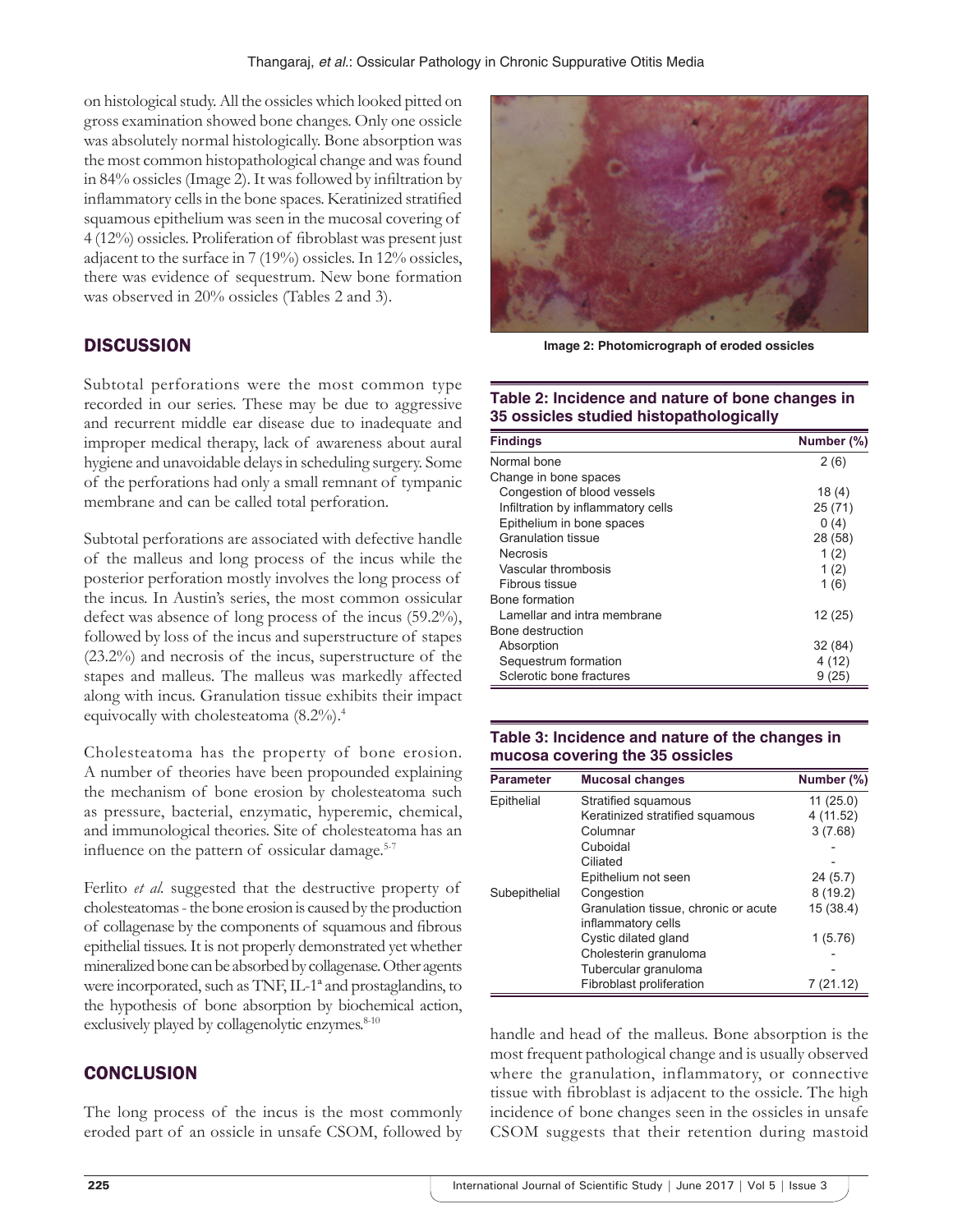on histological study. All the ossicles which looked pitted on gross examination showed bone changes. Only one ossicle was absolutely normal histologically. Bone absorption was the most common histopathological change and was found in 84% ossicles (Image 2). It was followed by infiltration by inflammatory cells in the bone spaces. Keratinized stratified squamous epithelium was seen in the mucosal covering of 4 (12%) ossicles. Proliferation of fibroblast was present just adjacent to the surface in 7 (19%) ossicles. In 12% ossicles, there was evidence of sequestrum. New bone formation was observed in 20% ossicles (Tables 2 and 3).

# **DISCUSSION**

Subtotal perforations were the most common type recorded in our series. These may be due to aggressive and recurrent middle ear disease due to inadequate and improper medical therapy, lack of awareness about aural hygiene and unavoidable delays in scheduling surgery. Some of the perforations had only a small remnant of tympanic membrane and can be called total perforation.

Subtotal perforations are associated with defective handle of the malleus and long process of the incus while the posterior perforation mostly involves the long process of the incus. In Austin's series, the most common ossicular defect was absence of long process of the incus (59.2%), followed by loss of the incus and superstructure of stapes (23.2%) and necrosis of the incus, superstructure of the stapes and malleus. The malleus was markedly affected along with incus. Granulation tissue exhibits their impact equivocally with cholesteatoma (8.2%).4

Cholesteatoma has the property of bone erosion. A number of theories have been propounded explaining the mechanism of bone erosion by cholesteatoma such as pressure, bacterial, enzymatic, hyperemic, chemical, and immunological theories. Site of cholesteatoma has an influence on the pattern of ossicular damage.<sup>5-7</sup>

Ferlito *et al.* suggested that the destructive property of cholesteatomas-the bone erosion is caused by the production of collagenase by the components of squamous and fibrous epithelial tissues. It is not properly demonstrated yet whether mineralized bone can be absorbed by collagenase. Other agents were incorporated, such as TNF, IL-1ª and prostaglandins, to the hypothesis of bone absorption by biochemical action, exclusively played by collagenolytic enzymes.<sup>8-10</sup>

# **CONCLUSION**

The long process of the incus is the most commonly eroded part of an ossicle in unsafe CSOM, followed by



**Image 2: Photomicrograph of eroded ossicles**

#### **Table 2: Incidence and nature of bone changes in 35 ossicles studied histopathologically**

| <b>Findings</b>                    | Number (%) |
|------------------------------------|------------|
| Normal bone                        | 2(6)       |
| Change in bone spaces              |            |
| Congestion of blood vessels        | 18(4)      |
| Infiltration by inflammatory cells | 25(71)     |
| Epithelium in bone spaces          | 0(4)       |
| <b>Granulation tissue</b>          | 28 (58)    |
| <b>Necrosis</b>                    | 1(2)       |
| Vascular thrombosis                | 1(2)       |
| Fibrous tissue                     | 1(6)       |
| Bone formation                     |            |
| Lamellar and intra membrane        | 12(25)     |
| Bone destruction                   |            |
| Absorption                         | 32 (84)    |
| Sequestrum formation               | 4(12)      |
| Sclerotic bone fractures           | 9 (25)     |

## **Table 3: Incidence and nature of the changes in mucosa covering the 35 ossicles**

| <b>Parameter</b> | <b>Mucosal changes</b>               | Number (%) |
|------------------|--------------------------------------|------------|
| Epithelial       | Stratified squamous                  | 11(25.0)   |
|                  | Keratinized stratified squamous      | 4 (11.52)  |
|                  | Columnar                             | 3(7.68)    |
|                  | Cuboidal                             |            |
|                  | Ciliated                             |            |
|                  | Epithelium not seen                  | 24(5.7)    |
| Subepithelial    | Congestion                           | 8(19.2)    |
|                  | Granulation tissue, chronic or acute | 15 (38.4)  |
|                  | inflammatory cells                   |            |
|                  | Cystic dilated gland                 | 1(5.76)    |
|                  | Cholesterin granuloma                |            |
|                  | Tubercular granuloma                 |            |
|                  | Fibroblast proliferation             | 7 (21.12)  |

handle and head of the malleus. Bone absorption is the most frequent pathological change and is usually observed where the granulation, inflammatory, or connective tissue with fibroblast is adjacent to the ossicle. The high incidence of bone changes seen in the ossicles in unsafe CSOM suggests that their retention during mastoid